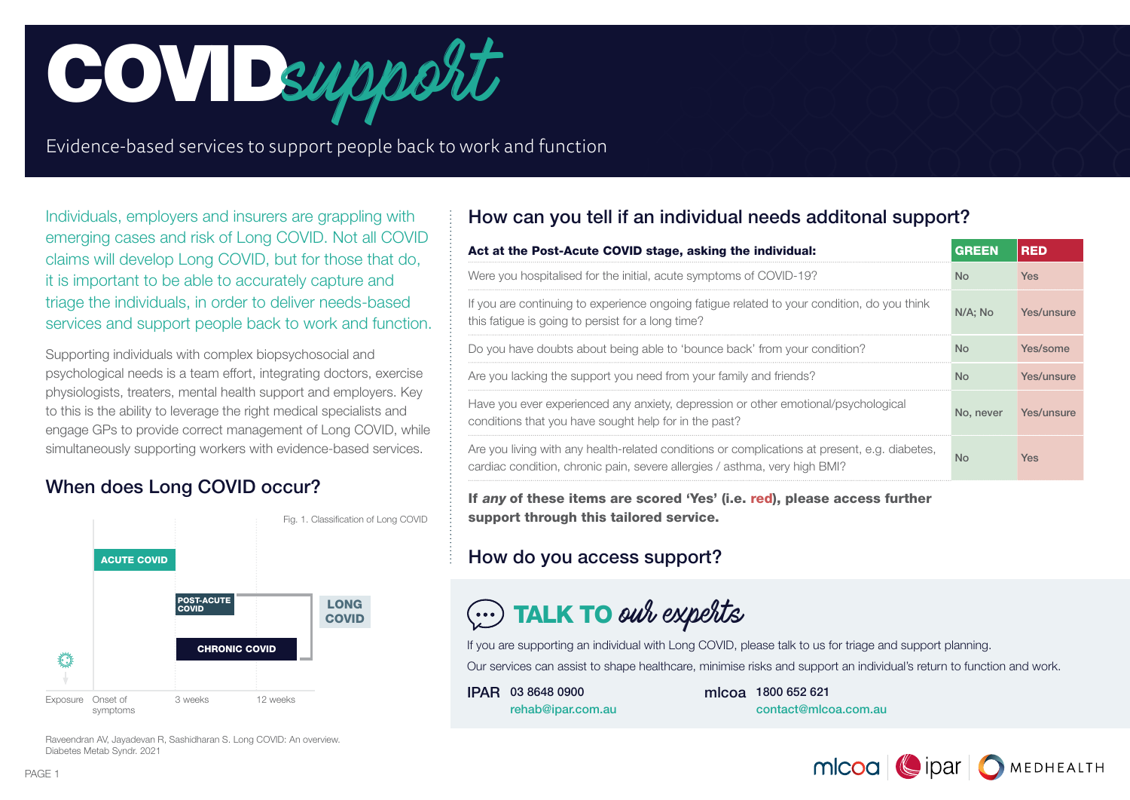

Evidence-based services to support people back to work and function

Individuals, employers and insurers are grappling with emerging cases and risk of Long COVID. Not all COVID claims will develop Long COVID, but for those that do, it is important to be able to accurately capture and triage the individuals, in order to deliver needs-based services and support people back to work and function.

Supporting individuals with complex biopsychosocial and psychological needs is a team effort, integrating doctors, exercise physiologists, treaters, mental health support and employers. Key to this is the ability to leverage the right medical specialists and engage GPs to provide correct management of Long COVID, while simultaneously supporting workers with evidence-based services.

# When does Long COVID occur?



Raveendran AV, Jayadevan R, Sashidharan S. Long COVID: An overview. Diabetes Metab Syndr. 2021

# How can you tell if an individual needs additonal support?

| Act at the Post-Acute COVID stage, asking the individual:                                                                                                                   | GREEN     | RED        |
|-----------------------------------------------------------------------------------------------------------------------------------------------------------------------------|-----------|------------|
| Were you hospitalised for the initial, acute symptoms of COVID-19?                                                                                                          | <b>No</b> | <b>Yes</b> |
| If you are continuing to experience ongoing fatigue related to your condition, do you think<br>this fatigue is going to persist for a long time?                            | N/A: No   | Yes/unsure |
| Do you have doubts about being able to 'bounce back' from your condition?                                                                                                   | <b>No</b> | Yes/some   |
| Are you lacking the support you need from your family and friends?                                                                                                          | No.       | Yes/unsure |
| Have you ever experienced any anxiety, depression or other emotional/psychological<br>conditions that you have sought help for in the past?                                 | No. never | Yes/unsure |
| Are you living with any health-related conditions or complications at present, e.g. diabetes,<br>cardiac condition, chronic pain, severe allergies / asthma, very high BMI? | Nο        | Yes        |

If any of these items are scored 'Yes' (i.e. red), please access further support through this tailored service.

# How do you access support?

# $\circled{\cdots}$  TALK TO our experts

If you are supporting an individual with Long COVID, please talk to us for triage and support planning. Our services can assist to shape healthcare, minimise risks and support an individual's return to function and work.

IPAR 03 8648 0900 rehab@ipar.com.au mlcoa 1800 652 621 contact@mlcoa.com.au

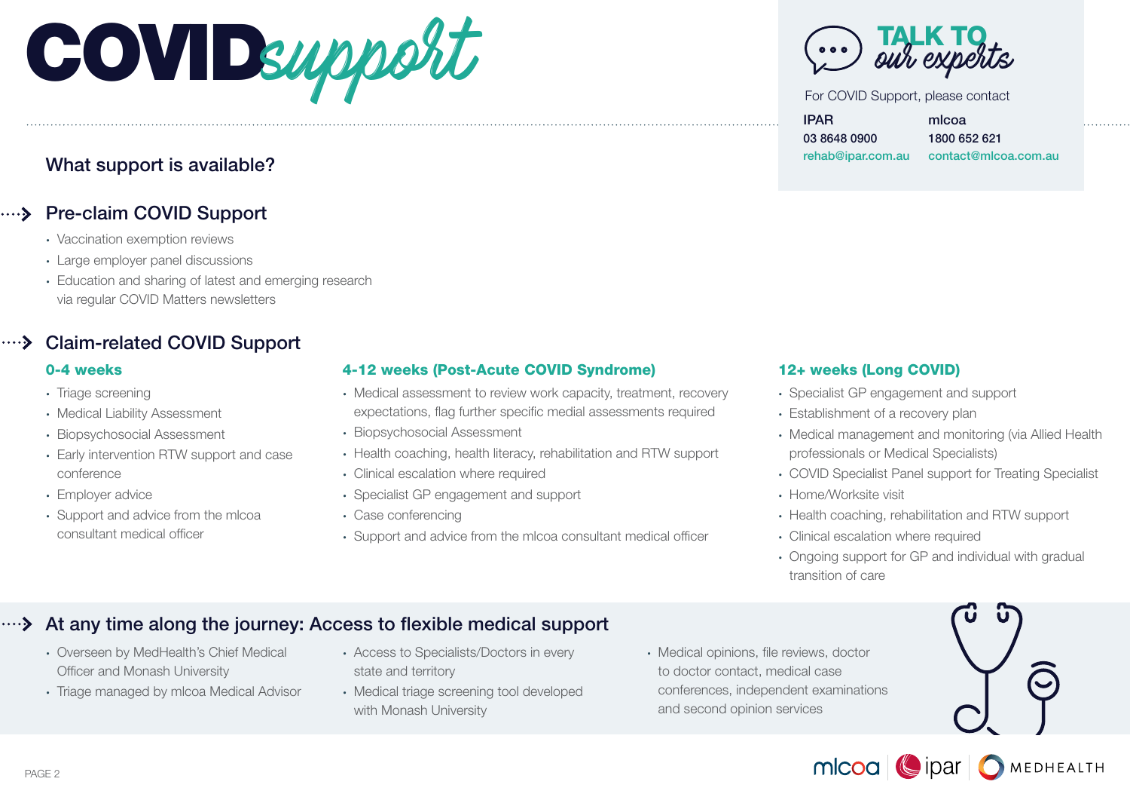

# What support is available?

# .... > Pre-claim COVID Support

- Vaccination exemption reviews
- Large employer panel discussions
- Education and sharing of latest and emerging research via regular COVID Matters newsletters

# Claim-related COVID Support

- Triage screening
- Medical Liability Assessment
- Biopsychosocial Assessment
- Early intervention RTW support and case conference
- Employer advice
- Support and advice from the mlcoa consultant medical officer

## 0-4 weeks 4-12 weeks (Post-Acute COVID Syndrome) 12+ weeks (Long COVID)

- Medical assessment to review work capacity, treatment, recovery expectations, flag further specific medial assessments required
- Biopsychosocial Assessment
- Health coaching, health literacy, rehabilitation and RTW support
- Clinical escalation where required
- Specialist GP engagement and support
- Case conferencing
- Support and advice from the mlcoa consultant medical officer

**TALK TO**<br>our experts

For COVID Support, please contact

IPAR 03 8648 0900 rehab@ipar.com.au mlcoa 1800 652 621 contact@mlcoa.com.au

- Specialist GP engagement and support
- Establishment of a recovery plan
- Medical management and monitoring (via Allied Health professionals or Medical Specialists)
- COVID Specialist Panel support for Treating Specialist
- Home/Worksite visit
- Health coaching, rehabilitation and RTW support
- Clinical escalation where required
- Ongoing support for GP and individual with gradual transition of care

# At any time along the journey: Access to flexible medical support

- Overseen by MedHealth's Chief Medical Officer and Monash University
- Triage managed by mlcoa Medical Advisor
- Access to Specialists/Doctors in every state and territory
- Medical triage screening tool developed with Monash University
- Medical opinions, file reviews, doctor to doctor contact, medical case conferences, independent examinations and second opinion services



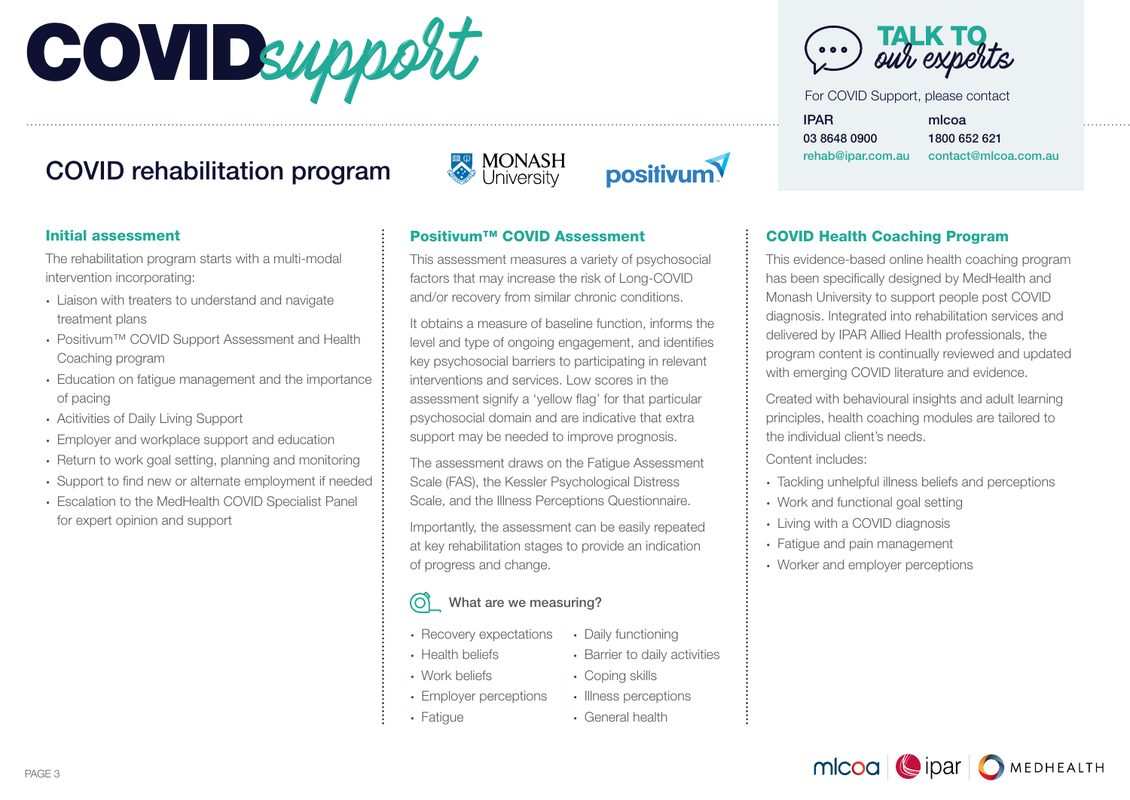# COVIDsupport

# COVID rehabilitation program



# positivum

## Initial assessment

The rehabilitation program starts with a multi-modal intervention incorporating:

- Liaison with treaters to understand and navigate treatment plans
- Positivum™ COVID Support Assessment and Health Coaching program
- Education on fatigue management and the importance of pacing
- Acitivities of Daily Living Support
- Employer and workplace support and education
- Return to work goal setting, planning and monitoring
- Support to find new or alternate employment if needed
- Escalation to the MedHealth COVID Specialist Panel for expert opinion and support

# Positivum™ COVID Assessment

This assessment measures a variety of psychosocial factors that may increase the risk of Long-COVID and/or recovery from similar chronic conditions.

It obtains a measure of baseline function, informs the level and type of ongoing engagement, and identifies key psychosocial barriers to participating in relevant interventions and services. Low scores in the assessment signify a 'yellow flag' for that particular psychosocial domain and are indicative that extra support may be needed to improve prognosis.

The assessment draws on the Fatigue Assessment Scale (FAS), the Kessler Psychological Distress Scale, and the Illness Perceptions Questionnaire.

Importantly, the assessment can be easily repeated at key rehabilitation stages to provide an indication of progress and change.

### ര് What are we measuring?

- Recovery expectations
	- Daily functioning

• Coping skills • Illness perceptions • General health

• Barrier to daily activities

- Health beliefs
- Work beliefs
- Employer perceptions
- Fatigue



For COVID Support, please contact

IPAR 03 8648 0900 rehab@ipar.com.au mlcoa

1800 652 621 contact@mlcoa.com.au

# COVID Health Coaching Program

This evidence-based online health coaching program has been specifically designed by MedHealth and Monash University to support people post COVID diagnosis. Integrated into rehabilitation services and delivered by IPAR Allied Health professionals, the program content is continually reviewed and updated with emerging COVID literature and evidence.

Created with behavioural insights and adult learning principles, health coaching modules are tailored to the individual client's needs.

Content includes:

- Tackling unhelpful illness beliefs and perceptions
- Work and functional goal setting
- Living with a COVID diagnosis
- Fatigue and pain management
- Worker and employer perceptions